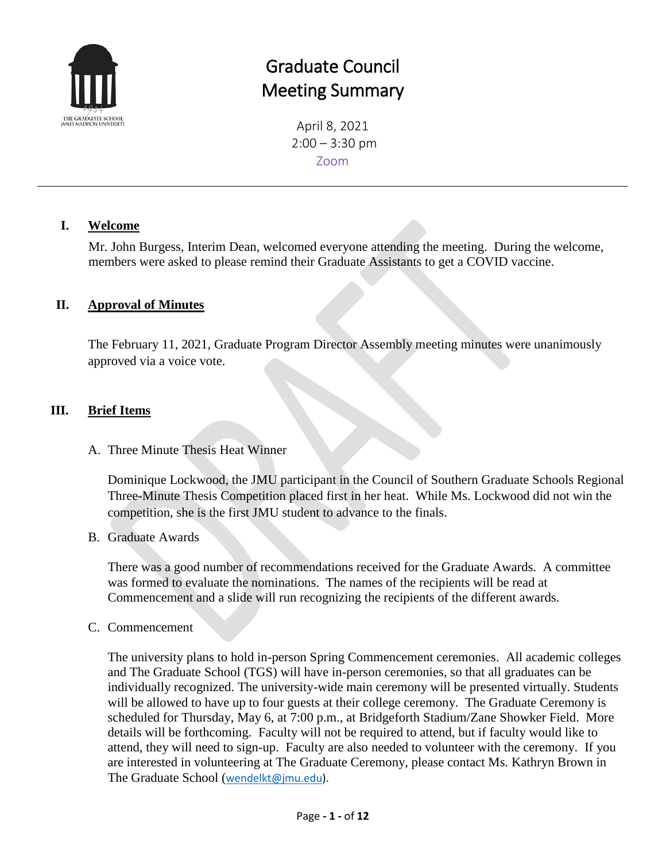

# Graduate Council Meeting Summary

April 8, 2021  $2:00 - 3:30$  pm Zoom

#### **I. Welcome**

Mr. John Burgess, Interim Dean, welcomed everyone attending the meeting. During the welcome, members were asked to please remind their Graduate Assistants to get a COVID vaccine.

### **II. Approval of Minutes**

The February 11, 2021, Graduate Program Director Assembly meeting minutes were unanimously approved via a voice vote.

### **III. Brief Items**

A. Three Minute Thesis Heat Winner

Dominique Lockwood, the JMU participant in the Council of Southern Graduate Schools Regional Three-Minute Thesis Competition placed first in her heat. While Ms. Lockwood did not win the competition, she is the first JMU student to advance to the finals.

B. Graduate Awards

There was a good number of recommendations received for the Graduate Awards. A committee was formed to evaluate the nominations. The names of the recipients will be read at Commencement and a slide will run recognizing the recipients of the different awards.

C. Commencement

The university plans to hold in-person Spring Commencement ceremonies. All academic colleges and The Graduate School (TGS) will have in-person ceremonies, so that all graduates can be individually recognized. The university-wide main ceremony will be presented virtually. Students will be allowed to have up to four guests at their college ceremony. The Graduate Ceremony is scheduled for Thursday, May 6, at 7:00 p.m., at Bridgeforth Stadium/Zane Showker Field. More details will be forthcoming. Faculty will not be required to attend, but if faculty would like to attend, they will need to sign-up. Faculty are also needed to volunteer with the ceremony. If you are interested in volunteering at The Graduate Ceremony, please contact Ms. Kathryn Brown in The Graduate School ([wendelkt@jmu.edu\)](mailto:wendelkt@jmu.edu).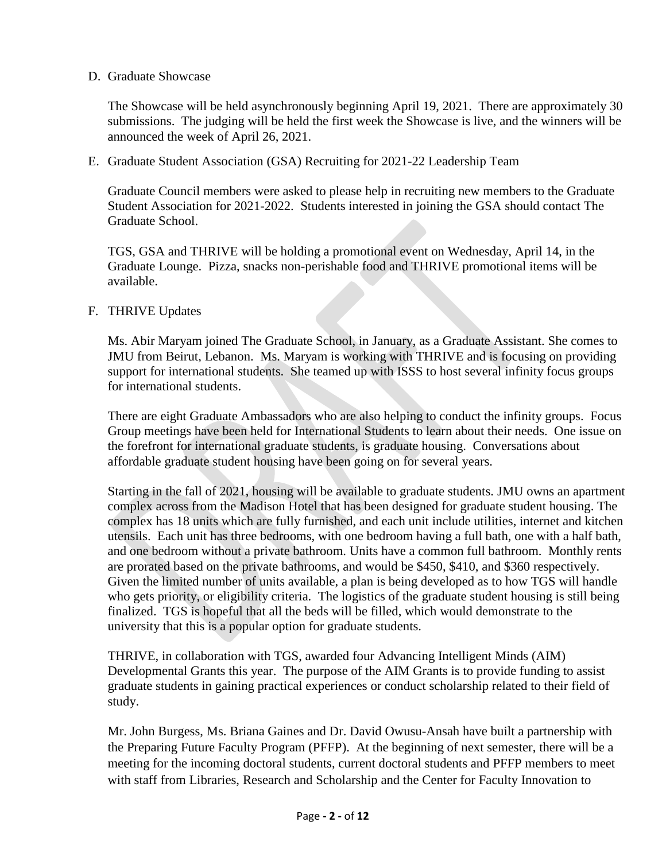#### D. Graduate Showcase

The Showcase will be held asynchronously beginning April 19, 2021. There are approximately 30 submissions. The judging will be held the first week the Showcase is live, and the winners will be announced the week of April 26, 2021.

E. Graduate Student Association (GSA) Recruiting for 2021-22 Leadership Team

Graduate Council members were asked to please help in recruiting new members to the Graduate Student Association for 2021-2022. Students interested in joining the GSA should contact The Graduate School.

TGS, GSA and THRIVE will be holding a promotional event on Wednesday, April 14, in the Graduate Lounge. Pizza, snacks non-perishable food and THRIVE promotional items will be available.

#### F. THRIVE Updates

Ms. Abir Maryam joined The Graduate School, in January, as a Graduate Assistant. She comes to JMU from Beirut, Lebanon. Ms. Maryam is working with THRIVE and is focusing on providing support for international students. She teamed up with ISSS to host several infinity focus groups for international students.

There are eight Graduate Ambassadors who are also helping to conduct the infinity groups. Focus Group meetings have been held for International Students to learn about their needs. One issue on the forefront for international graduate students, is graduate housing. Conversations about affordable graduate student housing have been going on for several years.

Starting in the fall of 2021, housing will be available to graduate students. JMU owns an apartment complex across from the Madison Hotel that has been designed for graduate student housing. The complex has 18 units which are fully furnished, and each unit include utilities, internet and kitchen utensils. Each unit has three bedrooms, with one bedroom having a full bath, one with a half bath, and one bedroom without a private bathroom. Units have a common full bathroom. Monthly rents are prorated based on the private bathrooms, and would be \$450, \$410, and \$360 respectively. Given the limited number of units available, a plan is being developed as to how TGS will handle who gets priority, or eligibility criteria. The logistics of the graduate student housing is still being finalized. TGS is hopeful that all the beds will be filled, which would demonstrate to the university that this is a popular option for graduate students.

THRIVE, in collaboration with TGS, awarded four Advancing Intelligent Minds (AIM) Developmental Grants this year. The purpose of the AIM Grants is to provide funding to assist graduate students in gaining practical experiences or conduct scholarship related to their field of study.

Mr. John Burgess, Ms. Briana Gaines and Dr. David Owusu-Ansah have built a partnership with the Preparing Future Faculty Program (PFFP). At the beginning of next semester, there will be a meeting for the incoming doctoral students, current doctoral students and PFFP members to meet with staff from Libraries, Research and Scholarship and the Center for Faculty Innovation to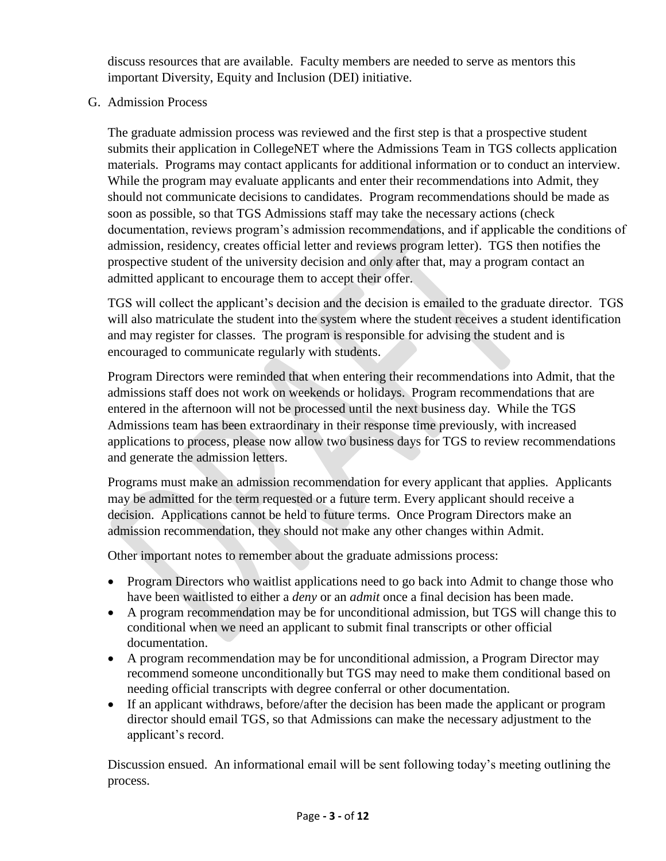discuss resources that are available. Faculty members are needed to serve as mentors this important Diversity, Equity and Inclusion (DEI) initiative.

G. Admission Process

The graduate admission process was reviewed and the first step is that a prospective student submits their application in CollegeNET where the Admissions Team in TGS collects application materials. Programs may contact applicants for additional information or to conduct an interview. While the program may evaluate applicants and enter their recommendations into Admit, they should not communicate decisions to candidates. Program recommendations should be made as soon as possible, so that TGS Admissions staff may take the necessary actions (check documentation, reviews program's admission recommendations, and if applicable the conditions of admission, residency, creates official letter and reviews program letter). TGS then notifies the prospective student of the university decision and only after that, may a program contact an admitted applicant to encourage them to accept their offer.

TGS will collect the applicant's decision and the decision is emailed to the graduate director. TGS will also matriculate the student into the system where the student receives a student identification and may register for classes. The program is responsible for advising the student and is encouraged to communicate regularly with students.

Program Directors were reminded that when entering their recommendations into Admit, that the admissions staff does not work on weekends or holidays. Program recommendations that are entered in the afternoon will not be processed until the next business day. While the TGS Admissions team has been extraordinary in their response time previously, with increased applications to process, please now allow two business days for TGS to review recommendations and generate the admission letters.

Programs must make an admission recommendation for every applicant that applies. Applicants may be admitted for the term requested or a future term. Every applicant should receive a decision. Applications cannot be held to future terms. Once Program Directors make an admission recommendation, they should not make any other changes within Admit.

Other important notes to remember about the graduate admissions process:

- Program Directors who waitlist applications need to go back into Admit to change those who have been waitlisted to either a *deny* or an *admit* once a final decision has been made.
- A program recommendation may be for unconditional admission, but TGS will change this to conditional when we need an applicant to submit final transcripts or other official documentation.
- A program recommendation may be for unconditional admission, a Program Director may recommend someone unconditionally but TGS may need to make them conditional based on needing official transcripts with degree conferral or other documentation.
- If an applicant withdraws, before/after the decision has been made the applicant or program director should email TGS, so that Admissions can make the necessary adjustment to the applicant's record.

Discussion ensued. An informational email will be sent following today's meeting outlining the process.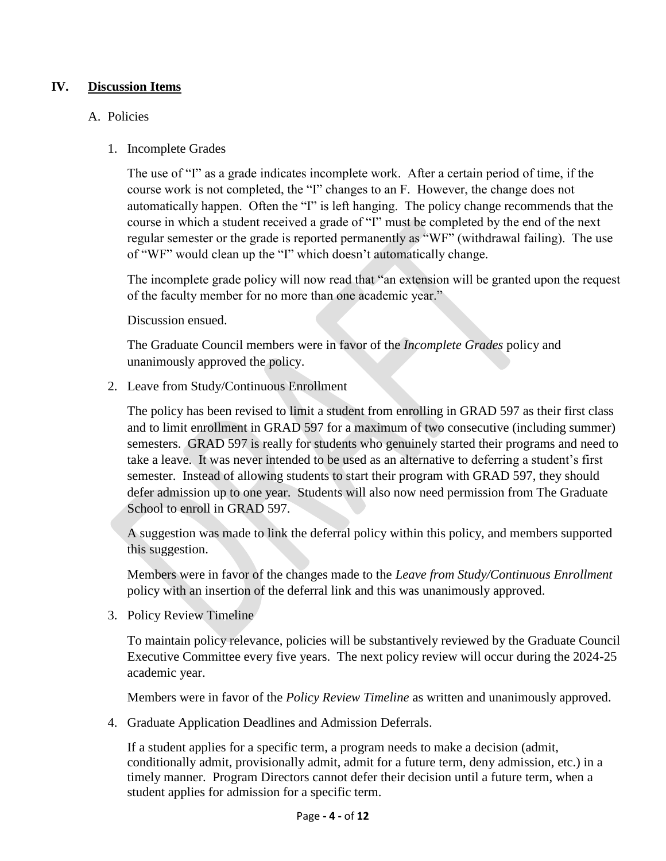#### **IV. Discussion Items**

#### A. Policies

1. Incomplete Grades

The use of "I" as a grade indicates incomplete work. After a certain period of time, if the course work is not completed, the "I" changes to an F. However, the change does not automatically happen. Often the "I" is left hanging. The policy change recommends that the course in which a student received a grade of "I" must be completed by the end of the next regular semester or the grade is reported permanently as "WF" (withdrawal failing). The use of "WF" would clean up the "I" which doesn't automatically change.

The incomplete grade policy will now read that "an extension will be granted upon the request of the faculty member for no more than one academic year."

Discussion ensued.

The Graduate Council members were in favor of the *Incomplete Grades* policy and unanimously approved the policy.

2. Leave from Study/Continuous Enrollment

The policy has been revised to limit a student from enrolling in GRAD 597 as their first class and to limit enrollment in GRAD 597 for a maximum of two consecutive (including summer) semesters. GRAD 597 is really for students who genuinely started their programs and need to take a leave. It was never intended to be used as an alternative to deferring a student's first semester. Instead of allowing students to start their program with GRAD 597, they should defer admission up to one year. Students will also now need permission from The Graduate School to enroll in GRAD 597.

A suggestion was made to link the deferral policy within this policy, and members supported this suggestion.

Members were in favor of the changes made to the *Leave from Study/Continuous Enrollment* policy with an insertion of the deferral link and this was unanimously approved.

3. Policy Review Timeline

To maintain policy relevance, policies will be substantively reviewed by the Graduate Council Executive Committee every five years. The next policy review will occur during the 2024-25 academic year.

Members were in favor of the *Policy Review Timeline* as written and unanimously approved.

4. Graduate Application Deadlines and Admission Deferrals.

If a student applies for a specific term, a program needs to make a decision (admit, conditionally admit, provisionally admit, admit for a future term, deny admission, etc.) in a timely manner. Program Directors cannot defer their decision until a future term, when a student applies for admission for a specific term.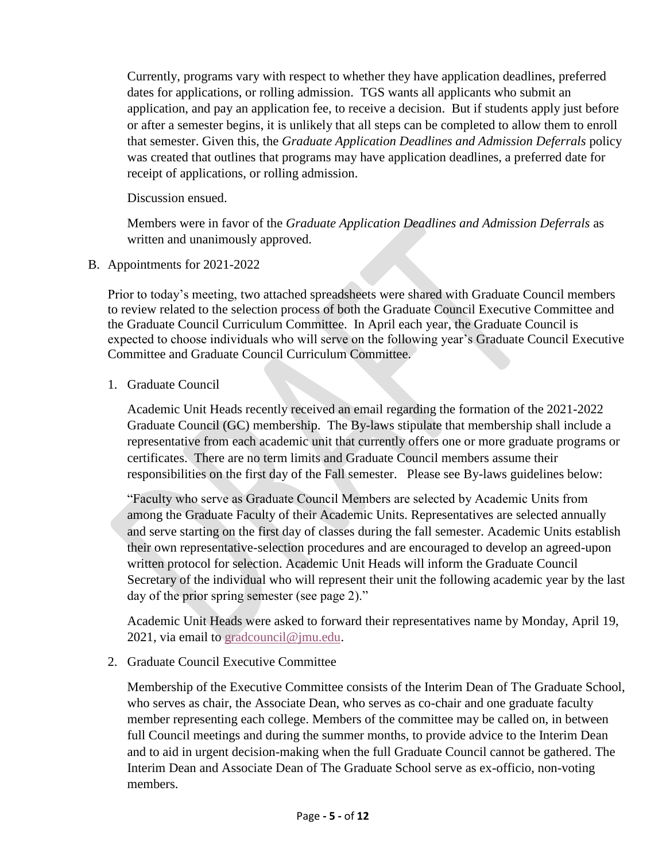Currently, programs vary with respect to whether they have application deadlines, preferred dates for applications, or rolling admission. TGS wants all applicants who submit an application, and pay an application fee, to receive a decision. But if students apply just before or after a semester begins, it is unlikely that all steps can be completed to allow them to enroll that semester. Given this, the *Graduate Application Deadlines and Admission Deferrals* policy was created that outlines that programs may have application deadlines, a preferred date for receipt of applications, or rolling admission.

Discussion ensued.

Members were in favor of the *Graduate Application Deadlines and Admission Deferrals* as written and unanimously approved.

B. Appointments for 2021-2022

Prior to today's meeting, two attached spreadsheets were shared with Graduate Council members to review related to the selection process of both the Graduate Council Executive Committee and the Graduate Council Curriculum Committee. In April each year, the Graduate Council is expected to choose individuals who will serve on the following year's Graduate Council Executive Committee and Graduate Council Curriculum Committee.

1. Graduate Council

Academic Unit Heads recently received an email regarding the formation of the 2021-2022 Graduate Council (GC) membership. The By-laws stipulate that membership shall include a representative from each academic unit that currently offers one or more graduate programs or certificates. There are no term limits and Graduate Council members assume their responsibilities on the first day of the Fall semester. Please see By-laws guidelines below:

"Faculty who serve as Graduate Council Members are selected by Academic Units from among the Graduate Faculty of their Academic Units. Representatives are selected annually and serve starting on the first day of classes during the fall semester. Academic Units establish their own representative-selection procedures and are encouraged to develop an agreed-upon written protocol for selection. Academic Unit Heads will inform the Graduate Council Secretary of the individual who will represent their unit the following academic year by the last day of the prior spring semester (see page 2)."

Academic Unit Heads were asked to forward their representatives name by Monday, April 19, 2021, via email to [gradcouncil@jmu.edu.](mailto:gradcouncil@jmu.edu)

2. Graduate Council Executive Committee

Membership of the Executive Committee consists of the Interim Dean of The Graduate School, who serves as chair, the Associate Dean, who serves as co-chair and one graduate faculty member representing each college. Members of the committee may be called on, in between full Council meetings and during the summer months, to provide advice to the Interim Dean and to aid in urgent decision-making when the full Graduate Council cannot be gathered. The Interim Dean and Associate Dean of The Graduate School serve as ex-officio, non-voting members.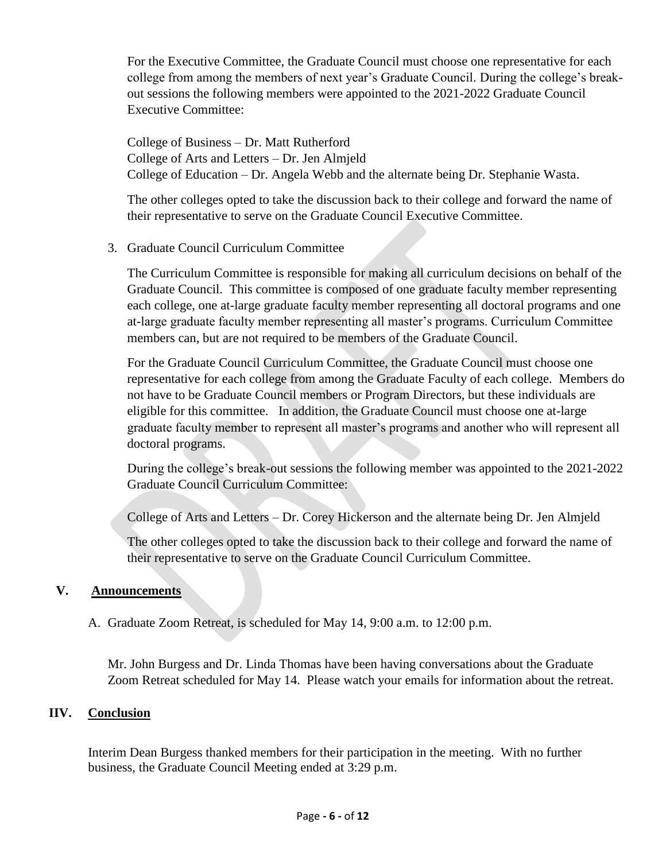For the Executive Committee, the Graduate Council must choose one representative for each college from among the members of next year's Graduate Council. During the college's breakout sessions the following members were appointed to the 2021-2022 Graduate Council Executive Committee:

College of Business – Dr. Matt Rutherford College of Arts and Letters – Dr. Jen Almjeld College of Education – Dr. Angela Webb and the alternate being Dr. Stephanie Wasta.

The other colleges opted to take the discussion back to their college and forward the name of their representative to serve on the Graduate Council Executive Committee.

#### 3. Graduate Council Curriculum Committee

The Curriculum Committee is responsible for making all curriculum decisions on behalf of the Graduate Council. This committee is composed of one graduate faculty member representing each college, one at-large graduate faculty member representing all doctoral programs and one at-large graduate faculty member representing all master's programs. Curriculum Committee members can, but are not required to be members of the Graduate Council.

For the Graduate Council Curriculum Committee, the Graduate Council must choose one representative for each college from among the Graduate Faculty of each college. Members do not have to be Graduate Council members or Program Directors, but these individuals are eligible for this committee. In addition, the Graduate Council must choose one at-large graduate faculty member to represent all master's programs and another who will represent all doctoral programs.

During the college's break-out sessions the following member was appointed to the 2021-2022 Graduate Council Curriculum Committee:

College of Arts and Letters – Dr. Corey Hickerson and the alternate being Dr. Jen Almjeld

The other colleges opted to take the discussion back to their college and forward the name of their representative to serve on the Graduate Council Curriculum Committee.

#### **V. Announcements**

#### A. Graduate Zoom Retreat, is scheduled for May 14, 9:00 a.m. to 12:00 p.m.

Mr. John Burgess and Dr. Linda Thomas have been having conversations about the Graduate Zoom Retreat scheduled for May 14. Please watch your emails for information about the retreat.

#### **IIV. Conclusion**

Interim Dean Burgess thanked members for their participation in the meeting. With no further business, the Graduate Council Meeting ended at 3:29 p.m.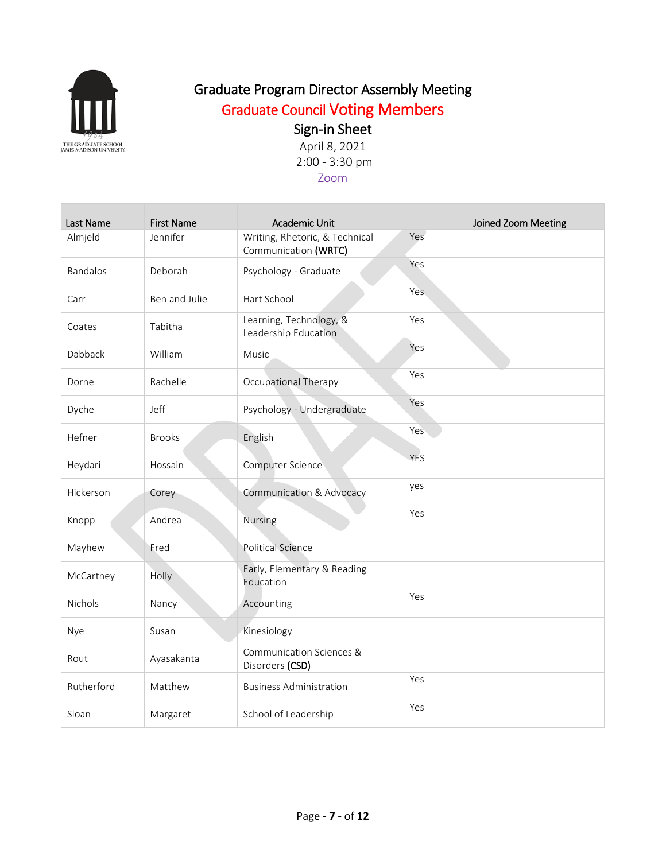

## Graduate Council Voting Members

## Sign-in Sheet

April 8, 2021 2:00 - 3:30 pm Zoom

| Last Name       | <b>First Name</b> | <b>Academic Unit</b>                                   | Joined Zoom Meeting |
|-----------------|-------------------|--------------------------------------------------------|---------------------|
| Almjeld         | Jennifer          | Writing, Rhetoric, & Technical<br>Communication (WRTC) | Yes                 |
| <b>Bandalos</b> | Deborah           | Psychology - Graduate                                  | Yes                 |
| Carr            | Ben and Julie     | Hart School                                            | Yes.                |
| Coates          | Tabitha           | Learning, Technology, &<br>Leadership Education        | Yes                 |
| Dabback         | William           | Music                                                  | Yes                 |
| Dorne           | Rachelle          | Occupational Therapy                                   | Yes                 |
| Dyche           | Jeff              | Psychology - Undergraduate                             | Yes                 |
| Hefner          | <b>Brooks</b>     | English                                                | Yes                 |
| Heydari         | Hossain           | Computer Science                                       | YES                 |
| Hickerson       | Corey             | Communication & Advocacy                               | yes                 |
| Knopp           | Andrea            | <b>Nursing</b>                                         | Yes                 |
| Mayhew          | Fred              | <b>Political Science</b>                               |                     |
| McCartney       | Holly             | Early, Elementary & Reading<br>Education               |                     |
| <b>Nichols</b>  | Nancy             | Accounting                                             | Yes                 |
| Nye             | Susan             | Kinesiology                                            |                     |
| Rout            | Ayasakanta        | Communication Sciences &<br>Disorders (CSD)            |                     |
| Rutherford      | Matthew           | <b>Business Administration</b>                         | Yes                 |
| Sloan           | Margaret          | School of Leadership                                   | Yes                 |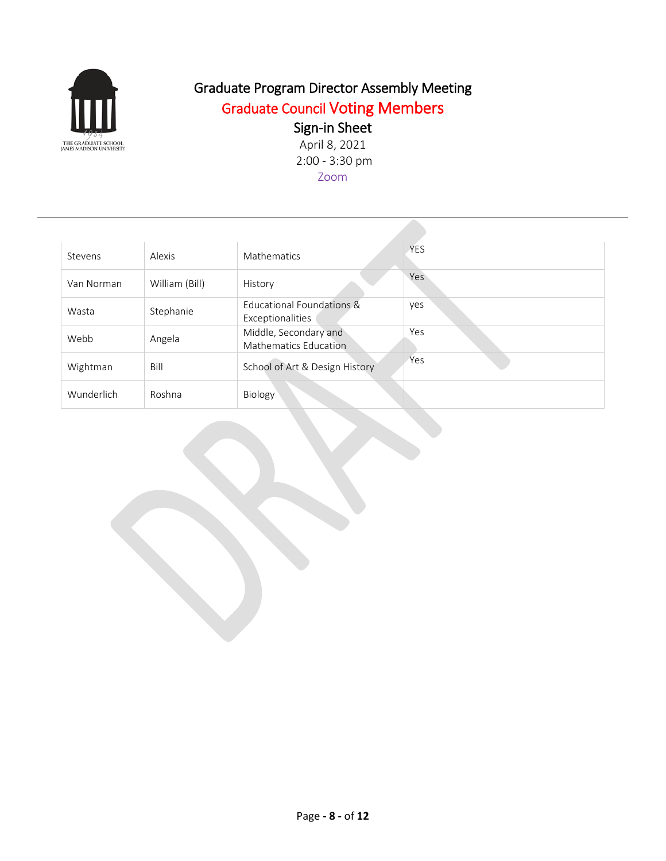

## Graduate Council Voting Members

### Sign-in Sheet

April 8, 2021 2:00 - 3:30 pm Zoom

| Stevens    | Alexis         | Mathematics                                           | <b>YES</b> |
|------------|----------------|-------------------------------------------------------|------------|
| Van Norman | William (Bill) | History                                               | Yes        |
| Wasta      | Stephanie      | Educational Foundations &<br>Exceptionalities         | yes        |
| Webb       | Angela         | Middle, Secondary and<br><b>Mathematics Education</b> | Yes        |
| Wightman   | Bill           | School of Art & Design History                        | Yes        |
| Wunderlich | Roshna         | <b>Biology</b>                                        |            |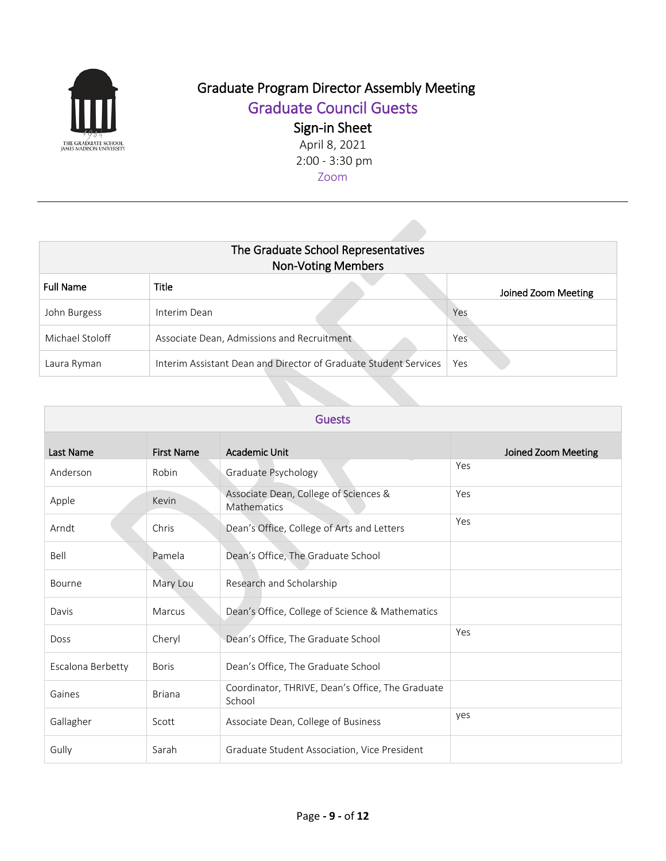

Graduate Council Guests

Sign-in Sheet

April 8, 2021 2:00 - 3:30 pm Zoom

| The Graduate School Representatives<br><b>Non-Voting Members</b> |                                                                  |                     |  |
|------------------------------------------------------------------|------------------------------------------------------------------|---------------------|--|
| <b>Full Name</b>                                                 | Title                                                            | Joined Zoom Meeting |  |
| John Burgess                                                     | Interim Dean                                                     | Yes                 |  |
| Michael Stoloff                                                  | Associate Dean, Admissions and Recruitment                       | Yes                 |  |
| Laura Ryman                                                      | Interim Assistant Dean and Director of Graduate Student Services | Yes                 |  |

| <b>Guests</b>     |                   |                                                             |                     |
|-------------------|-------------------|-------------------------------------------------------------|---------------------|
| Last Name         | <b>First Name</b> | <b>Academic Unit</b>                                        | Joined Zoom Meeting |
| Anderson          | Robin             | Graduate Psychology                                         | Yes                 |
| Apple             | Kevin             | Associate Dean, College of Sciences &<br><b>Mathematics</b> | Yes                 |
| Arndt             | Chris             | Dean's Office, College of Arts and Letters                  | Yes                 |
| Bell              | Pamela            | Dean's Office, The Graduate School                          |                     |
| Bourne            | Mary Lou          | Research and Scholarship                                    |                     |
| Davis             | Marcus            | Dean's Office, College of Science & Mathematics             |                     |
| <b>Doss</b>       | Cheryl            | Dean's Office, The Graduate School                          | Yes                 |
| Escalona Berbetty | <b>Boris</b>      | Dean's Office, The Graduate School                          |                     |
| Gaines            | <b>Briana</b>     | Coordinator, THRIVE, Dean's Office, The Graduate<br>School  |                     |
| Gallagher         | Scott             | Associate Dean, College of Business                         | yes                 |
| Gully             | Sarah             | Graduate Student Association, Vice President                |                     |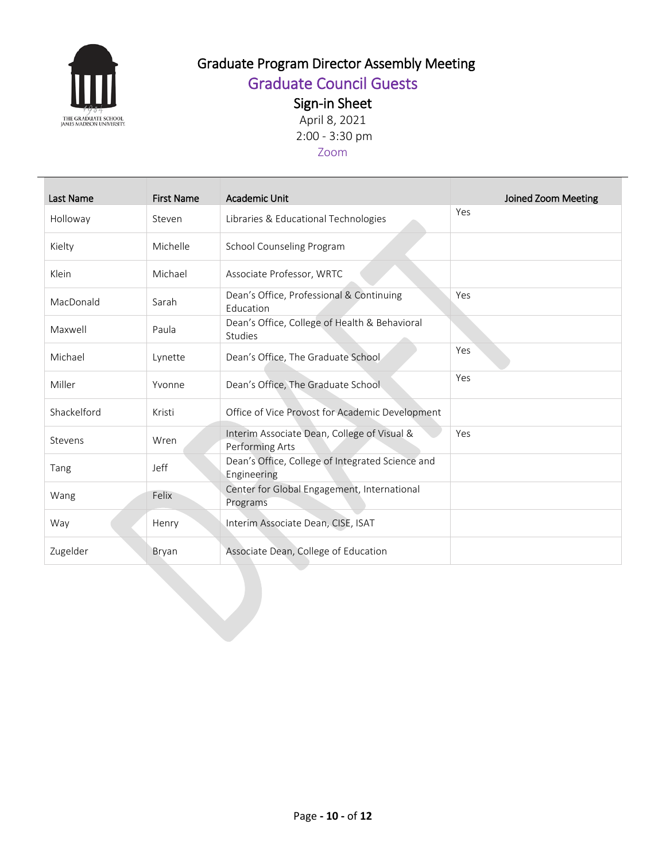

## Graduate Council Guests

Sign-in Sheet

April 8, 2021 2:00 - 3:30 pm

### Zoom

| Last Name   | <b>First Name</b> | Academic Unit                                                   | Joined Zoom Meeting |
|-------------|-------------------|-----------------------------------------------------------------|---------------------|
| Holloway    | Steven            | Libraries & Educational Technologies                            | Yes                 |
| Kielty      | Michelle          | School Counseling Program                                       |                     |
| Klein       | Michael           | Associate Professor, WRTC                                       |                     |
| MacDonald   | Sarah             | Dean's Office, Professional & Continuing<br>Education           | Yes                 |
| Maxwell     | Paula             | Dean's Office, College of Health & Behavioral<br><b>Studies</b> |                     |
| Michael     | Lynette           | Dean's Office, The Graduate School                              | Yes                 |
| Miller      | Yvonne            | Dean's Office, The Graduate School                              | Yes                 |
| Shackelford | Kristi            | Office of Vice Provost for Academic Development                 |                     |
| Stevens     | Wren              | Interim Associate Dean, College of Visual &<br>Performing Arts  | Yes                 |
| Tang        | Jeff              | Dean's Office, College of Integrated Science and<br>Engineering |                     |
| Wang        | Felix             | Center for Global Engagement, International<br>Programs         |                     |
| Way         | Henry             | Interim Associate Dean, CISE, ISAT                              |                     |
| Zugelder    | Bryan             | Associate Dean, College of Education                            |                     |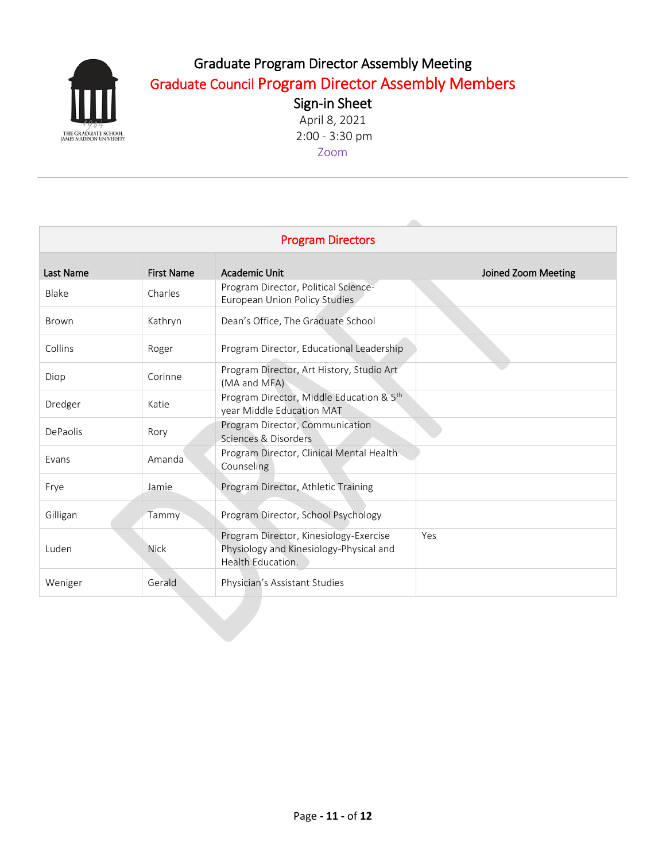

### Graduate Program Director Assembly Meeting Graduate Council Program Director Assembly Members

Sign-in Sheet April 8, 2021 2:00 - 3:30 pm Zoom

| <b>Program Directors</b> |                   |                                                                                                        |                     |
|--------------------------|-------------------|--------------------------------------------------------------------------------------------------------|---------------------|
| Last Name                | <b>First Name</b> | Academic Unit                                                                                          | Joined Zoom Meeting |
| Blake                    | Charles           | Program Director, Political Science-<br>European Union Policy Studies                                  |                     |
| <b>Brown</b>             | Kathryn           | Dean's Office, The Graduate School                                                                     |                     |
| Collins                  | Roger             | Program Director, Educational Leadership                                                               |                     |
| Diop                     | Corinne           | Program Director, Art History, Studio Art<br>(MA and MFA)                                              |                     |
| Dredger                  | Katie             | Program Director, Middle Education & 5th<br>year Middle Education MAT                                  |                     |
| DePaolis                 | Rory              | Program Director, Communication<br>Sciences & Disorders                                                |                     |
| Evans                    | Amanda            | Program Director, Clinical Mental Health<br>Counseling                                                 |                     |
| Frye                     | Jamie             | Program Director, Athletic Training                                                                    |                     |
| Gilligan                 | Tammy             | Program Director, School Psychology                                                                    |                     |
| Luden                    | <b>Nick</b>       | Program Director, Kinesiology-Exercise<br>Physiology and Kinesiology-Physical and<br>Health Education. | Yes                 |
| Weniger                  | Gerald            | Physician's Assistant Studies                                                                          |                     |